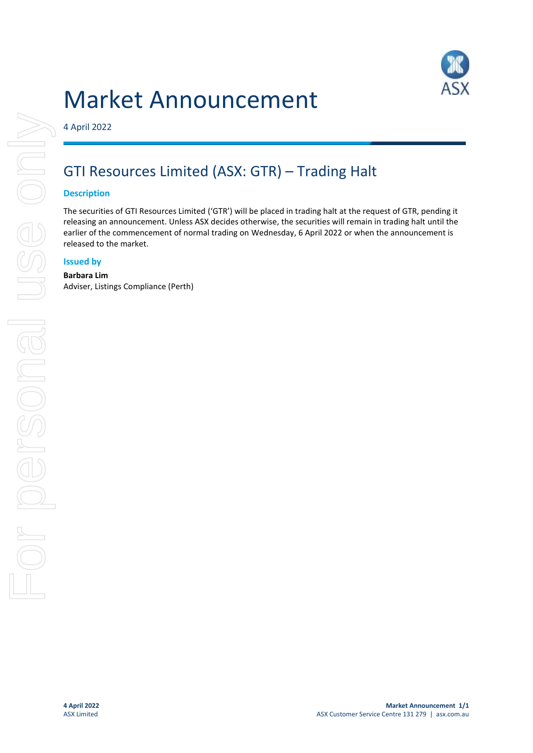# Market Announcement



4 April 2022

## GTI Resources Limited (ASX: GTR) – Trading Halt

#### **Description**

The securities of GTI Resources Limited ('GTR') will be placed in trading halt at the request of GTR, pending it releasing an announcement. Unless ASX decides otherwise, the securities will remain in trading halt until the earlier of the commencement of normal trading on Wednesday, 6 April 2022 or when the announcement is released to the market.

#### **Issued by**

#### **Barbara Lim** Adviser, Listings Compliance (Perth)